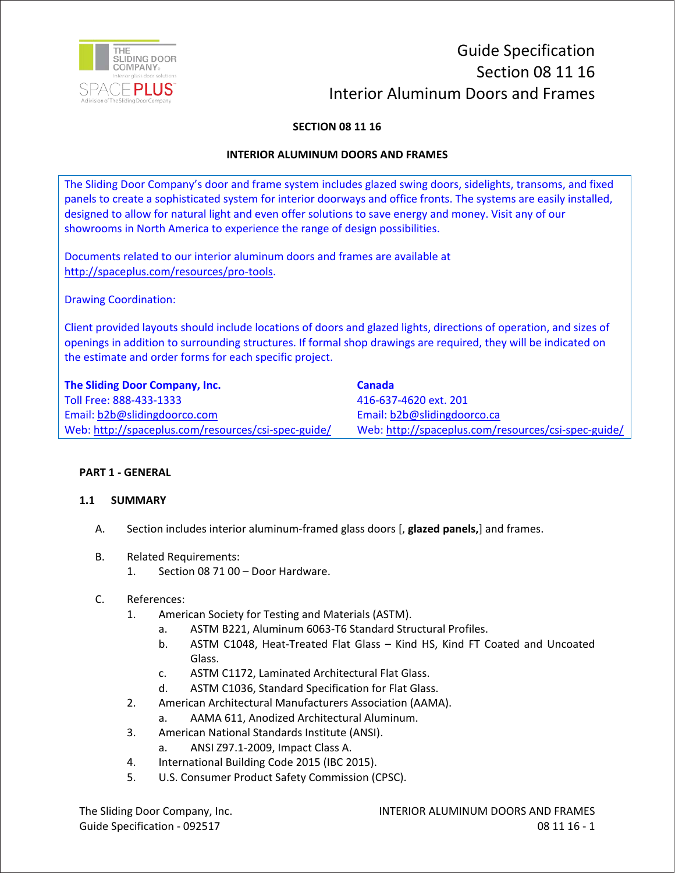

# Guide Specification Section 08 11 16 Interior Aluminum Doors and Frames

# **SECTION 08 11 16**

## **INTERIOR ALUMINUM DOORS AND FRAMES**

The Sliding Door Company's door and frame system includes glazed swing doors, sidelights, transoms, and fixed panels to create a sophisticated system for interior doorways and office fronts. The systems are easily installed, designed to allow for natural light and even offer solutions to save energy and money. Visit any of our showrooms in North America to experience the range of design possibilities.

Documents related to our interior aluminum doors and frames are available at http://spaceplus.com/resources/pro-tools.

Drawing Coordination:

Client provided layouts should include locations of doors and glazed lights, directions of operation, and sizes of openings in addition to surrounding structures. If formal shop drawings are required, they will be indicated on the estimate and order forms for each specific project.

| The Sliding Door Company, Inc.                      | Canada                                              |
|-----------------------------------------------------|-----------------------------------------------------|
| Toll Free: 888-433-1333                             | 416-637-4620 ext. 201                               |
| Email: b2b@slidingdoorco.com                        | Email: b2b@slidingdoorco.ca                         |
| Web: http://spaceplus.com/resources/csi-spec-guide/ | Web: http://spaceplus.com/resources/csi-spec-guide/ |

#### **PART 1 - GENERAL**

#### **1.1 SUMMARY**

- A. Section includes interior aluminum-framed glass doors [, **glazed panels,**] and frames.
- B. Related Requirements:
	- 1. Section 08 71 00 Door Hardware.
- C. References:
	- 1. American Society for Testing and Materials (ASTM).
		- a. ASTM B221, Aluminum 6063-T6 Standard Structural Profiles.
		- b. ASTM C1048, Heat-Treated Flat Glass Kind HS, Kind FT Coated and Uncoated Glass.
		- c. ASTM C1172, Laminated Architectural Flat Glass.
		- d. ASTM C1036, Standard Specification for Flat Glass.
	- 2. American Architectural Manufacturers Association (AAMA).
		- a. AAMA 611, Anodized Architectural Aluminum.
	- 3. American National Standards Institute (ANSI).
		- a. ANSI Z97.1-2009, Impact Class A.
	- 4. International Building Code 2015 (IBC 2015).
	- 5. U.S. Consumer Product Safety Commission (CPSC).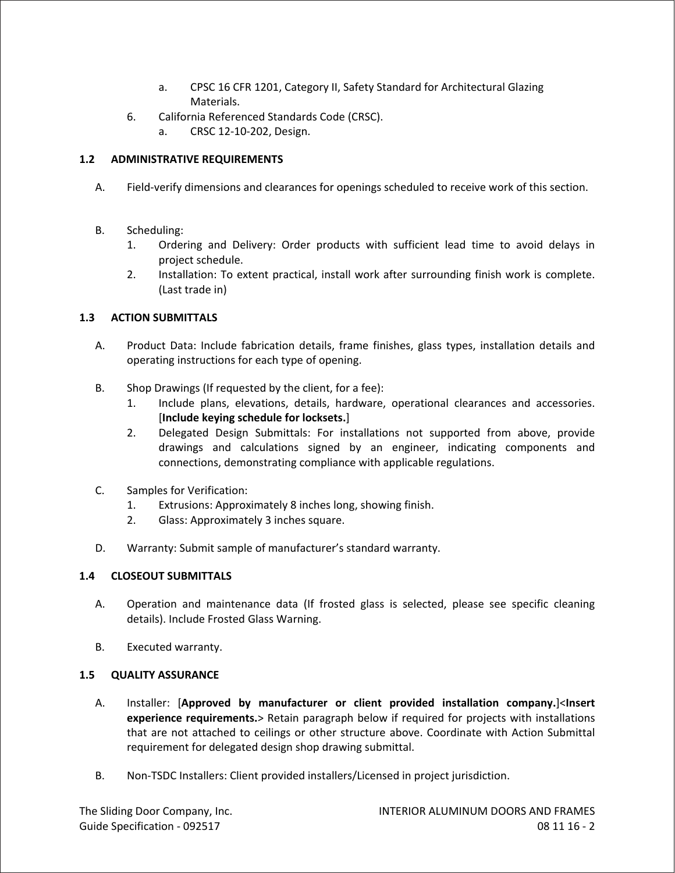- a. CPSC 16 CFR 1201, Category II, Safety Standard for Architectural Glazing Materials.
- 6. California Referenced Standards Code (CRSC).
	- a. CRSC 12-10-202, Design.

# **1.2 ADMINISTRATIVE REQUIREMENTS**

- A. Field-verify dimensions and clearances for openings scheduled to receive work of this section.
- B. Scheduling:
	- 1. Ordering and Delivery: Order products with sufficient lead time to avoid delays in project schedule.
	- 2. Installation: To extent practical, install work after surrounding finish work is complete. (Last trade in)

# **1.3 ACTION SUBMITTALS**

- A. Product Data: Include fabrication details, frame finishes, glass types, installation details and operating instructions for each type of opening.
- B. Shop Drawings (If requested by the client, for a fee):
	- 1. Include plans, elevations, details, hardware, operational clearances and accessories. [**Include keying schedule for locksets.**]
	- 2. Delegated Design Submittals: For installations not supported from above, provide drawings and calculations signed by an engineer, indicating components and connections, demonstrating compliance with applicable regulations.
- C. Samples for Verification:
	- 1. Extrusions: Approximately 8 inches long, showing finish.
	- 2. Glass: Approximately 3 inches square.
- D. Warranty: Submit sample of manufacturer's standard warranty.

## **1.4 CLOSEOUT SUBMITTALS**

- A. Operation and maintenance data (If frosted glass is selected, please see specific cleaning details). Include Frosted Glass Warning.
- B. Executed warranty.

## **1.5 QUALITY ASSURANCE**

- A. Installer: [**Approved by manufacturer or client provided installation company.**]<**Insert experience requirements.**> Retain paragraph below if required for projects with installations that are not attached to ceilings or other structure above. Coordinate with Action Submittal requirement for delegated design shop drawing submittal.
- B. Non-TSDC Installers: Client provided installers/Licensed in project jurisdiction.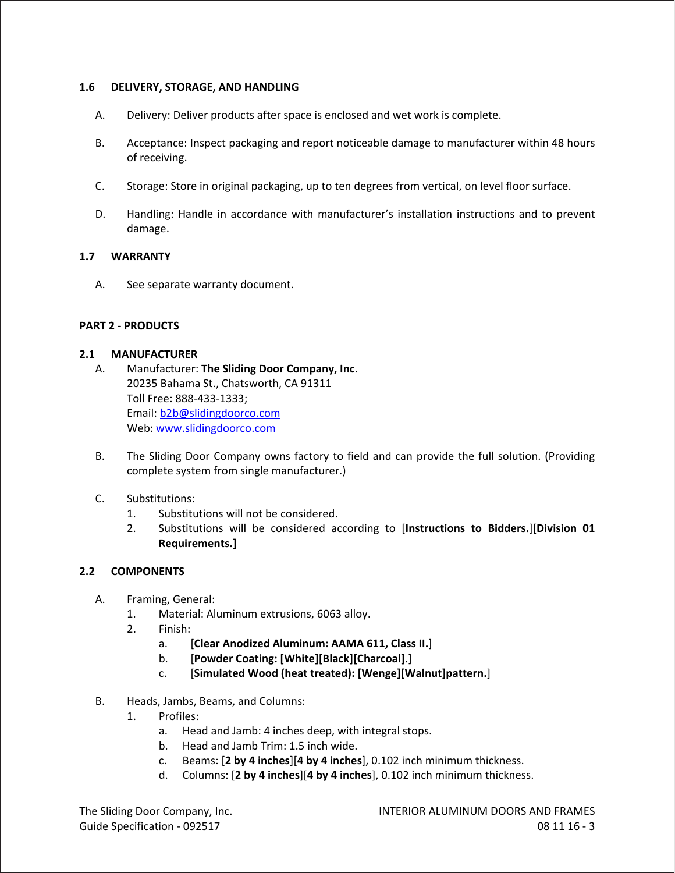#### **1.6 DELIVERY, STORAGE, AND HANDLING**

- A. Delivery: Deliver products after space is enclosed and wet work is complete.
- B. Acceptance: Inspect packaging and report noticeable damage to manufacturer within 48 hours of receiving.
- C. Storage: Store in original packaging, up to ten degrees from vertical, on level floor surface.
- D. Handling: Handle in accordance with manufacturer's installation instructions and to prevent damage.

#### **1.7 WARRANTY**

A. See separate warranty document.

#### **PART 2 - PRODUCTS**

## **2.1 MANUFACTURER**

- A. Manufacturer: **The Sliding Door Company, Inc**. 20235 Bahama St., Chatsworth, CA 91311 Toll Free: 888-433-1333; Email: b2b@slidingdoorco.com Web: www.slidingdoorco.com
- B. The Sliding Door Company owns factory to field and can provide the full solution. (Providing complete system from single manufacturer.)
- C. Substitutions:
	- 1. Substitutions will not be considered.
	- 2. Substitutions will be considered according to [**Instructions to Bidders.**][**Division 01 Requirements.]**

#### **2.2 COMPONENTS**

- A. Framing, General:
	- 1. Material: Aluminum extrusions, 6063 alloy.
	- 2. Finish:
		- a. [**Clear Anodized Aluminum: AAMA 611, Class II.**]
		- b. [**Powder Coating: [White][Black][Charcoal].**]
		- c. [**Simulated Wood (heat treated): [Wenge][Walnut]pattern.**]
- B. Heads, Jambs, Beams, and Columns:
	- 1. Profiles:
		- a. Head and Jamb: 4 inches deep, with integral stops.
		- b. Head and Jamb Trim: 1.5 inch wide.
		- c. Beams: [**2 by 4 inches**][**4 by 4 inches**], 0.102 inch minimum thickness.
		- d. Columns: [**2 by 4 inches**][**4 by 4 inches**], 0.102 inch minimum thickness.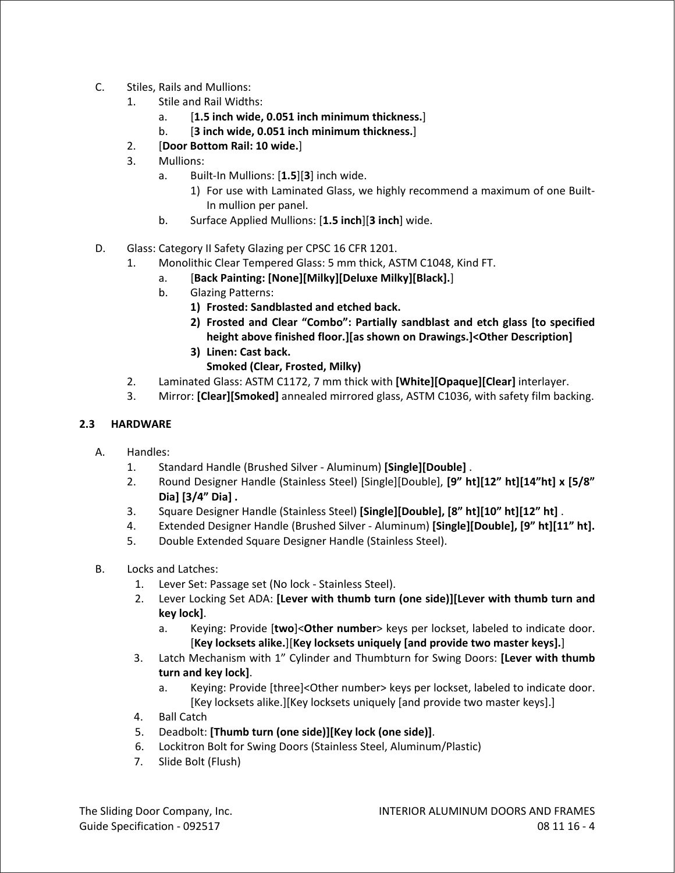- C. Stiles, Rails and Mullions:
	- 1. Stile and Rail Widths:
		- a. [**1.5 inch wide, 0.051 inch minimum thickness.**]
		- b. [**3 inch wide, 0.051 inch minimum thickness.**]
	- 2. [**Door Bottom Rail: 10 wide.**]
	- 3. Mullions:
		- a. Built-In Mullions: [**1.5**][**3**] inch wide.
			- 1) For use with Laminated Glass, we highly recommend a maximum of one Built-In mullion per panel.
		- b. Surface Applied Mullions: [**1.5 inch**][**3 inch**] wide.
- D. Glass: Category II Safety Glazing per CPSC 16 CFR 1201.
	- 1. Monolithic Clear Tempered Glass: 5 mm thick, ASTM C1048, Kind FT.
		- a. [**Back Painting: [None][Milky][Deluxe Milky][Black].**]
		- b. Glazing Patterns:
			- **1) Frosted: Sandblasted and etched back.**
			- **2) Frosted and Clear "Combo": Partially sandblast and etch glass [to specified height above finished floor.][as shown on Drawings.]<Other Description]**
			- **3) Linen: Cast back.**
				- **Smoked (Clear, Frosted, Milky)**
	- 2. Laminated Glass: ASTM C1172, 7 mm thick with **[White][Opaque][Clear]** interlayer.
	- 3. Mirror: **[Clear][Smoked]** annealed mirrored glass, ASTM C1036, with safety film backing.

# **2.3 HARDWARE**

- A. Handles:
	- 1. Standard Handle (Brushed Silver Aluminum) **[Single][Double]** .
	- 2. Round Designer Handle (Stainless Steel) [Single][Double], **[9" ht][12" ht][14"ht] x [5/8" Dia] [3/4" Dia] .**
	- 3. Square Designer Handle (Stainless Steel) **[Single][Double], [8" ht][10" ht][12" ht]** .
	- 4. Extended Designer Handle (Brushed Silver Aluminum) **[Single][Double], [9" ht][11" ht].**
	- 5. Double Extended Square Designer Handle (Stainless Steel).
- B. Locks and Latches:
	- 1. Lever Set: Passage set (No lock Stainless Steel).
	- 2. Lever Locking Set ADA: **[Lever with thumb turn (one side)][Lever with thumb turn and key lock]**.
		- a. Keying: Provide [**two**]<**Other number**> keys per lockset, labeled to indicate door. [**Key locksets alike.**][**Key locksets uniquely [and provide two master keys].**]
	- 3. Latch Mechanism with 1" Cylinder and Thumbturn for Swing Doors: **[Lever with thumb turn and key lock]**.
		- a. Keying: Provide [three]<Other number> keys per lockset, labeled to indicate door. [Key locksets alike.][Key locksets uniquely [and provide two master keys].]
	- 4. Ball Catch
	- 5. Deadbolt: **[Thumb turn (one side)][Key lock (one side)]**.
	- 6. Lockitron Bolt for Swing Doors (Stainless Steel, Aluminum/Plastic)
	- 7. Slide Bolt (Flush)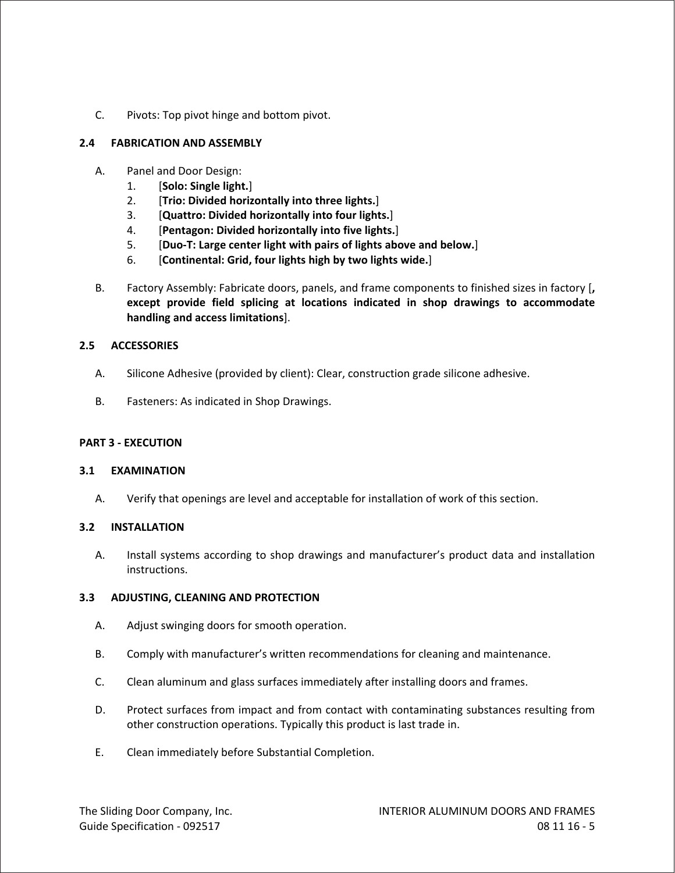C. Pivots: Top pivot hinge and bottom pivot.

## **2.4 FABRICATION AND ASSEMBLY**

- A. Panel and Door Design:
	- 1. [**Solo: Single light.**]
	- 2. [**Trio: Divided horizontally into three lights.**]
	- 3. [**Quattro: Divided horizontally into four lights.**]
	- 4. [**Pentagon: Divided horizontally into five lights.**]
	- 5. [**Duo-T: Large center light with pairs of lights above and below.**]
	- 6. [**Continental: Grid, four lights high by two lights wide.**]
- B. Factory Assembly: Fabricate doors, panels, and frame components to finished sizes in factory [**, except provide field splicing at locations indicated in shop drawings to accommodate handling and access limitations**].

## **2.5 ACCESSORIES**

- A. Silicone Adhesive (provided by client): Clear, construction grade silicone adhesive.
- B. Fasteners: As indicated in Shop Drawings.

#### **PART 3 - EXECUTION**

#### **3.1 EXAMINATION**

A. Verify that openings are level and acceptable for installation of work of this section.

#### **3.2 INSTALLATION**

A. Install systems according to shop drawings and manufacturer's product data and installation instructions.

#### **3.3 ADJUSTING, CLEANING AND PROTECTION**

- A. Adjust swinging doors for smooth operation.
- B. Comply with manufacturer's written recommendations for cleaning and maintenance.
- C. Clean aluminum and glass surfaces immediately after installing doors and frames.
- D. Protect surfaces from impact and from contact with contaminating substances resulting from other construction operations. Typically this product is last trade in.
- E. Clean immediately before Substantial Completion.